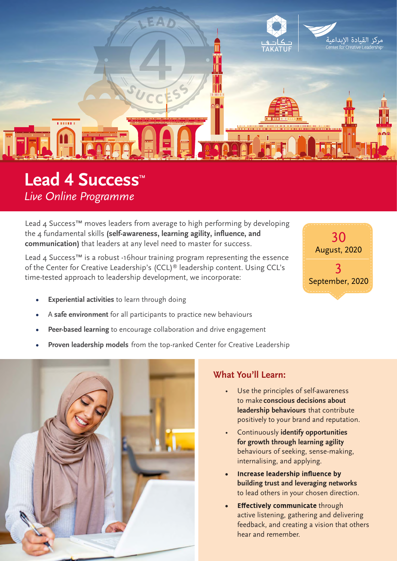

# Lead 4 Success<sup>™</sup> *Live Online Programme*

Lead 4 Success<sup>™</sup> moves leaders from average to high performing by developing the 4 fundamental skills **(self-awareness, learning agility, influence, and communication)** that leaders at any level need to master for success.

Lead 4 Success<sup>™</sup> is a robust -16hour training program representing the essence of the Center for Creative Leadership's (CCL)® leadership content. Using CCL's time-tested approach to leadership development, we incorporate:

- **• Experiential activities** to learn through doing
- **•** A **safe environment** for all participants to practice new behaviours
- **• Peer-based learning** to encourage collaboration and drive engagement
- **• Proven leadership models** from the top-ranked Center for Creative Leadership



### **What You'll Learn:**

Use the principles of self-awareness to make **conscious decisions about leadership behaviours** that contribute positively to your brand and reputation.

30 August, 2020

3 September, 2020

- Continuously **identify opportunities for growth through learning agility** behaviours of seeking, sense-making, internalising, and applying.
- Increase leadership influence by **• building trust and leveraging networks**  to lead others in your chosen direction.
- **Effectively communicate through** active listening, gathering and delivering feedback, and creating a vision that others hear and remember.